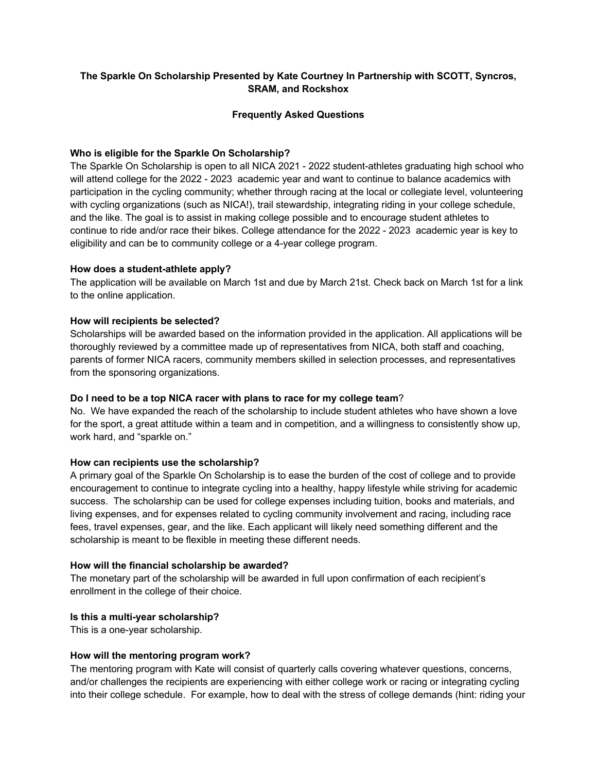# **The Sparkle On Scholarship Presented by Kate Courtney In Partnership with SCOTT, Syncros, SRAM, and Rockshox**

## **Frequently Asked Questions**

## **Who is eligible for the Sparkle On Scholarship?**

The Sparkle On Scholarship is open to all NICA 2021 - 2022 student-athletes graduating high school who will attend college for the 2022 - 2023 academic year and want to continue to balance academics with participation in the cycling community; whether through racing at the local or collegiate level, volunteering with cycling organizations (such as NICA!), trail stewardship, integrating riding in your college schedule, and the like. The goal is to assist in making college possible and to encourage student athletes to continue to ride and/or race their bikes. College attendance for the 2022 - 2023 academic year is key to eligibility and can be to community college or a 4-year college program.

### **How does a student-athlete apply?**

The application will be available on March 1st and due by March 21st. Check back on March 1st for a link to the online application.

### **How will recipients be selected?**

Scholarships will be awarded based on the information provided in the application. All applications will be thoroughly reviewed by a committee made up of representatives from NICA, both staff and coaching, parents of former NICA racers, community members skilled in selection processes, and representatives from the sponsoring organizations.

### **Do I need to be a top NICA racer with plans to race for my college team**?

No. We have expanded the reach of the scholarship to include student athletes who have shown a love for the sport, a great attitude within a team and in competition, and a willingness to consistently show up, work hard, and "sparkle on."

# **How can recipients use the scholarship?**

A primary goal of the Sparkle On Scholarship is to ease the burden of the cost of college and to provide encouragement to continue to integrate cycling into a healthy, happy lifestyle while striving for academic success. The scholarship can be used for college expenses including tuition, books and materials, and living expenses, and for expenses related to cycling community involvement and racing, including race fees, travel expenses, gear, and the like. Each applicant will likely need something different and the scholarship is meant to be flexible in meeting these different needs.

### **How will the financial scholarship be awarded?**

The monetary part of the scholarship will be awarded in full upon confirmation of each recipient's enrollment in the college of their choice.

### **Is this a multi-year scholarship?**

This is a one-year scholarship.

### **How will the mentoring program work?**

The mentoring program with Kate will consist of quarterly calls covering whatever questions, concerns, and/or challenges the recipients are experiencing with either college work or racing or integrating cycling into their college schedule. For example, how to deal with the stress of college demands (hint: riding your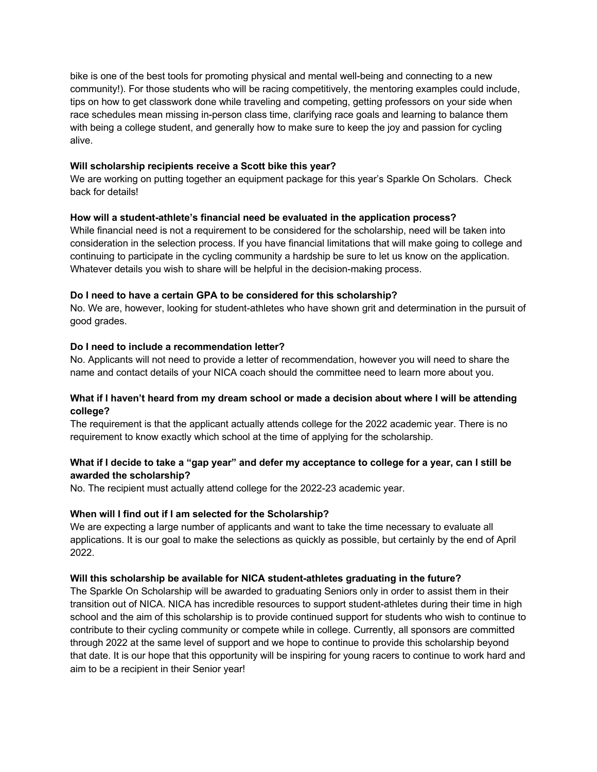bike is one of the best tools for promoting physical and mental well-being and connecting to a new community!). For those students who will be racing competitively, the mentoring examples could include, tips on how to get classwork done while traveling and competing, getting professors on your side when race schedules mean missing in-person class time, clarifying race goals and learning to balance them with being a college student, and generally how to make sure to keep the joy and passion for cycling alive.

## **Will scholarship recipients receive a Scott bike this year?**

We are working on putting together an equipment package for this year's Sparkle On Scholars. Check back for details!

### **How will a student-athlete's financial need be evaluated in the application process?**

While financial need is not a requirement to be considered for the scholarship, need will be taken into consideration in the selection process. If you have financial limitations that will make going to college and continuing to participate in the cycling community a hardship be sure to let us know on the application. Whatever details you wish to share will be helpful in the decision-making process.

### **Do I need to have a certain GPA to be considered for this scholarship?**

No. We are, however, looking for student-athletes who have shown grit and determination in the pursuit of good grades.

### **Do I need to include a recommendation letter?**

No. Applicants will not need to provide a letter of recommendation, however you will need to share the name and contact details of your NICA coach should the committee need to learn more about you.

# **What if I haven't heard from my dream school or made a decision about where I will be attending college?**

The requirement is that the applicant actually attends college for the 2022 academic year. There is no requirement to know exactly which school at the time of applying for the scholarship.

# **What if I decide to take a "gap year" and defer my acceptance to college for a year, can I still be awarded the scholarship?**

No. The recipient must actually attend college for the 2022-23 academic year.

### **When will I find out if I am selected for the Scholarship?**

We are expecting a large number of applicants and want to take the time necessary to evaluate all applications. It is our goal to make the selections as quickly as possible, but certainly by the end of April 2022.

### **Will this scholarship be available for NICA student-athletes graduating in the future?**

The Sparkle On Scholarship will be awarded to graduating Seniors only in order to assist them in their transition out of NICA. NICA has incredible resources to support student-athletes during their time in high school and the aim of this scholarship is to provide continued support for students who wish to continue to contribute to their cycling community or compete while in college. Currently, all sponsors are committed through 2022 at the same level of support and we hope to continue to provide this scholarship beyond that date. It is our hope that this opportunity will be inspiring for young racers to continue to work hard and aim to be a recipient in their Senior year!